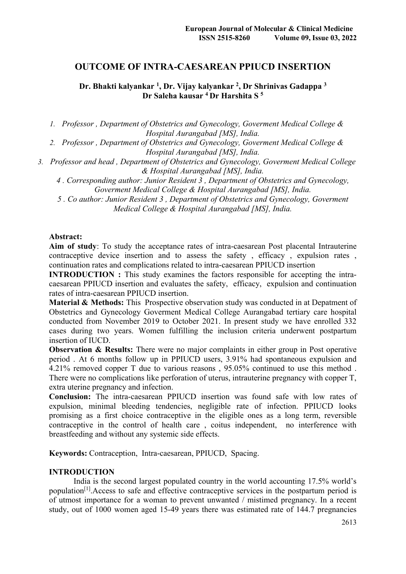# **OUTCOME OF INTRA-CAESAREAN PPIUCD INSERTION**

**Dr. Bhakti kalyankar 1, Dr. Vijay kalyankar 2, Dr Shrinivas Gadappa 3 Dr Saleha kausar 4 Dr Harshita S 5**

*1. Professor , Department of Obstetrics and Gynecology, Goverment Medical College & Hospital Aurangabad [MS], India.*

*2. Professor , Department of Obstetrics and Gynecology, Goverment Medical College & Hospital Aurangabad [MS], India.*

*3. Professor and head , Department of Obstetrics and Gynecology, Goverment Medical College & Hospital Aurangabad [MS], India.*

*4 . Corresponding author: Junior Resident 3 , Department of Obstetrics and Gynecology, Goverment Medical College & Hospital Aurangabad [MS], India.*

*5 . Co author: Junior Resident 3 , Department of Obstetrics and Gynecology, Goverment Medical College & Hospital Aurangabad [MS], India.*

#### **Abstract:**

**Aim of study**: To study the acceptance rates of intra-caesarean Post placental Intrauterine contraceptive device insertion and to assess the safety , efficacy , expulsion rates , continuation rates and complications related to intra-caesarean PPIUCD insertion

**INTRODUCTION :** This study examines the factors responsible for accepting the intracaesarean PPIUCD insertion and evaluates the safety, efficacy, expulsion and continuation rates of intra-caesarean PPIUCD insertion.

**Material & Methods:** This Prospective observation study was conducted in at Depatment of Obstetrics and Gynecology Goverment Medical College Aurangabad tertiary care hospital conducted from November 2019 to October 2021. In present study we have enrolled 332 cases during two years. Women fulfilling the inclusion criteria underwent postpartum insertion of IUCD.

**Observation & Results:** There were no major complaints in either group in Post operative period . At 6 months follow up in PPIUCD users, 3.91% had spontaneous expulsion and 4.21% removed copper T due to various reasons , 95.05% continued to use this method . There were no complications like perforation of uterus, intrauterine pregnancy with copper T, extra uterine pregnancy and infection.

**Conclusion:** The intra-caesarean PPIUCD insertion was found safe with low rates of expulsion, minimal bleeding tendencies, negligible rate of infection. PPIUCD looks promising as a first choice contraceptive in the eligible ones as a long term, reversible contraceptive in the control of health care , coitus independent, no interference with breastfeeding and without any systemic side effects.

**Keywords:** Contraception, Intra-caesarean, PPIUCD, Spacing.

#### **INTRODUCTION**

India is the second largest populated country in the world accounting 17.5% world's population<sup>[1]</sup>. Access to safe and effective contraceptive services in the postpartum period is of utmost importance for a woman to prevent unwanted / mistimed pregnancy. In a recent study, out of 1000 women aged 15-49 years there was estimated rate of 144.7 pregnancies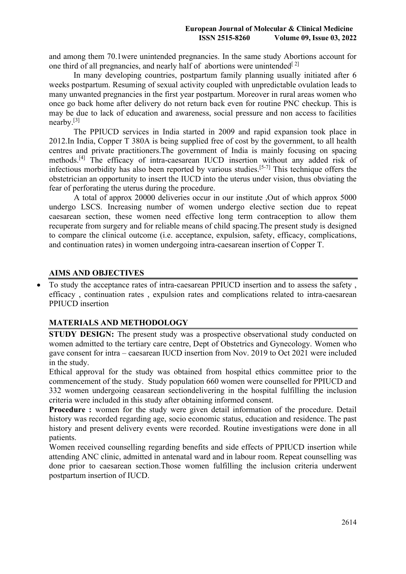and among them 70.1were unintended pregnancies. In the same study Abortions account for one third of all pregnancies, and nearly half of abortions were unintended  $[2]$ 

In many developing countries, postpartum family planning usually initiated after 6 weeks postpartum. Resuming of sexual activity coupled with unpredictable ovulation leads to many unwanted pregnancies in the first year postpartum. Moreover in rural areas women who once go back home after delivery do not return back even for routine PNC checkup. This is may be due to lack of education and awareness, social pressure and non access to facilities nearby. $[3]$ 

The PPIUCD services in India started in 2009 and rapid expansion took place in 2012.In India, Copper T 380A is being supplied free of cost by the government, to all health centres and private practitioners.The government of India is mainly focusing on spacing methods.[4] The efficacy of intra-caesarean IUCD insertion without any added risk of infectious morbidity has also been reported by various studies.<sup>[5-7]</sup> This technique offers the obstetrician an opportunity to insert the IUCD into the uterus under vision, thus obviating the fear of perforating the uterus during the procedure.

A total of approx 20000 deliveries occur in our institute ,Out of which approx 5000 undergo LSCS. Increasing number of women undergo elective section due to repeat caesarean section, these women need effective long term contraception to allow them recuperate from surgery and for reliable means of child spacing.The present study is designed to compare the clinical outcome (i.e. acceptance, expulsion, safety, efficacy, complications, and continuation rates) in women undergoing intra-caesarean insertion of Copper T.

## **AIMS AND OBJECTIVES**

To study the acceptance rates of intra-caesarean PPIUCD insertion and to assess the safety, efficacy , continuation rates , expulsion rates and complications related to intra-caesarean PPIUCD insertion

## **MATERIALS AND METHODOLOGY**

**STUDY DESIGN:** The present study was a prospective observational study conducted on women admitted to the tertiary care centre, Dept of Obstetrics and Gynecology. Women who gave consent for intra – caesarean IUCD insertion from Nov. 2019 to Oct 2021 were included in the study.

Ethical approval for the study was obtained from hospital ethics committee prior to the commencement of the study. Study population 660 women were counselled for PPIUCD and 332 women undergoing ceasarean sectiondelivering in the hospital fulfilling the inclusion criteria were included in this study after obtaining informed consent.

**Procedure :** women for the study were given detail information of the procedure. Detail history was recorded regarding age, socio economic status, education and residence. The past history and present delivery events were recorded. Routine investigations were done in all patients.

Women received counselling regarding benefits and side effects of PPIUCD insertion while attending ANC clinic, admitted in antenatal ward and in labour room. Repeat counselling was done prior to caesarean section.Those women fulfilling the inclusion criteria underwent postpartum insertion of IUCD.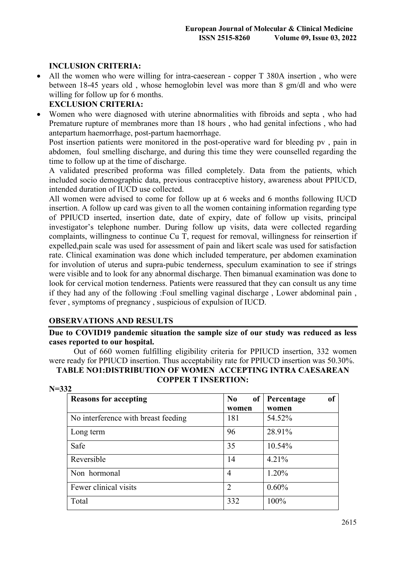# **INCLUSION CRITERIA:**

• All the women who were willing for intra-caeserean - copper T 380A insertion, who were between 18-45 years old , whose hemoglobin level was more than 8 gm/dl and who were willing for follow up for 6 months.

# **EXCLUSION CRITERIA:**

∑ Women who were diagnosed with uterine abnormalities with fibroids and septa , who had Premature rupture of membranes more than 18 hours , who had genital infections , who had antepartum haemorrhage, post-partum haemorrhage.

Post insertion patients were monitored in the post-operative ward for bleeding pv , pain in abdomen, foul smelling discharge, and during this time they were counselled regarding the time to follow up at the time of discharge.

A validated prescribed proforma was filled completely. Data from the patients, which included socio demographic data, previous contraceptive history, awareness about PPIUCD, intended duration of IUCD use collected.

All women were advised to come for follow up at 6 weeks and 6 months following IUCD insertion. A follow up card was given to all the women containing information regarding type of PPIUCD inserted, insertion date, date of expiry, date of follow up visits, principal investigator's telephone number. During follow up visits, data were collected regarding complaints, willingness to continue Cu T, request for removal, willingness for reinsertion if expelled,pain scale was used for assessment of pain and likert scale was used for satisfaction rate. Clinical examination was done which included temperature, per abdomen examination for involution of uterus and supra-pubic tenderness, speculum examination to see if strings were visible and to look for any abnormal discharge. Then bimanual examination was done to look for cervical motion tenderness. Patients were reassured that they can consult us any time if they had any of the following :Foul smelling vaginal discharge , Lower abdominal pain , fever , symptoms of pregnancy , suspicious of expulsion of IUCD.

# **OBSERVATIONS AND RESULTS**

**Due to COVID19 pandemic situation the sample size of our study was reduced as less cases reported to our hospital.** 

Out of 660 women fulfilling eligibility criteria for PPIUCD insertion, 332 women were ready for PPIUCD insertion. Thus acceptability rate for PPIUCD insertion was 50.30%.

| TABLE NO1:DISTRIBUTION OF WOMEN  ACCEPTING INTRA CAESAREAN |  |
|------------------------------------------------------------|--|
| <b>COPPER T INSERTION:</b>                                 |  |

| $N = 332$<br><b>Reasons for accepting</b> | No             | <sub>of</sub><br>of Percentage |
|-------------------------------------------|----------------|--------------------------------|
|                                           | women          | women                          |
| No interference with breast feeding       | 181            | 54.52%                         |
| Long term                                 | 96             | 28.91%                         |
| Safe                                      | 35             | 10.54%                         |
| Reversible                                | 14             | 4.21%                          |
| Non hormonal                              | $\overline{4}$ | 1.20%                          |
| Fewer clinical visits                     | 2              | 0.60%                          |
| Total                                     | 332            | 100%                           |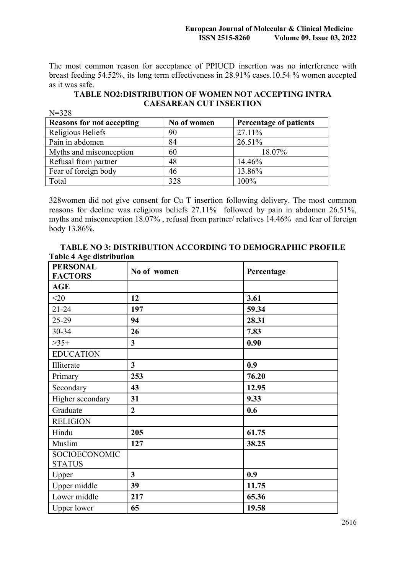The most common reason for acceptance of PPIUCD insertion was no interference with breast feeding 54.52%, its long term effectiveness in 28.91% cases.10.54 % women accepted as it was safe.

**TABLE NO2:DISTRIBUTION OF WOMEN NOT ACCEPTING INTRA CAESAREAN CUT INSERTION**

| $N = 328$                        |             |                        |
|----------------------------------|-------------|------------------------|
| <b>Reasons for not accepting</b> | No of women | Percentage of patients |
| Religious Beliefs                | 90          | 27.11%                 |
| Pain in abdomen                  | 84          | 26.51%                 |
| Myths and misconception          | 60          | 18.07%                 |
| Refusal from partner             | 48          | 14.46%                 |
| Fear of foreign body             | 46          | 13.86%                 |
| Total                            | 328         | 100%                   |

328women did not give consent for Cu T insertion following delivery. The most common reasons for decline was religious beliefs 27.11% followed by pain in abdomen 26.51%, myths and misconception 18.07% , refusal from partner/ relatives 14.46% and fear of foreign body 13.86%.

| <b>TABLE NO 3: DISTRIBUTION ACCORDING TO DEMOGRAPHIC PROFILE</b> |  |
|------------------------------------------------------------------|--|
| <b>Table 4 Age distribution</b>                                  |  |

| <b>PERSONAL</b><br><b>FACTORS</b> | No of women                    | Percentage |  |
|-----------------------------------|--------------------------------|------------|--|
| <b>AGE</b>                        |                                |            |  |
| $<$ 20                            | 12                             | 3.61       |  |
| $21 - 24$                         | 197                            | 59.34      |  |
| 25-29                             | 94                             | 28.31      |  |
| 30-34                             | 26                             | 7.83       |  |
| $>35+$                            | $\mathbf{3}$                   | 0.90       |  |
| <b>EDUCATION</b>                  |                                |            |  |
| Illiterate                        | 3 <sup>1</sup>                 | 0.9        |  |
| Primary                           | 253                            | 76.20      |  |
| Secondary                         | 43                             | 12.95      |  |
| Higher secondary                  | 31                             | 9.33       |  |
| Graduate                          | $\overline{2}$                 | 0.6        |  |
| <b>RELIGION</b>                   |                                |            |  |
| Hindu                             | 205                            | 61.75      |  |
| Muslim                            | 127                            | 38.25      |  |
| SOCIOECONOMIC<br><b>STATUS</b>    |                                |            |  |
| Upper                             | $\overline{\mathbf{3}}$<br>0.9 |            |  |
| Upper middle                      | 39                             | 11.75      |  |
| Lower middle                      | 217                            | 65.36      |  |
| <b>Upper lower</b>                | 65                             | 19.58      |  |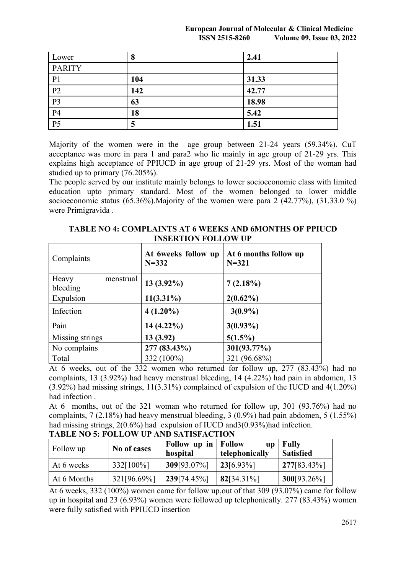#### **European Journal of Molecular & Clinical Medicine ISSN 2515-8260 Volume 09, Issue 03, 2022**

| Lower           | 8   | 2.41  |
|-----------------|-----|-------|
| <b>PARITY</b>   |     |       |
| P <sub>1</sub>  | 104 | 31.33 |
| $\overline{P2}$ | 142 | 42.77 |
| $\overline{P}$  | 63  | 18.98 |
| P <sub>4</sub>  | 18  | 5.42  |
| $\overline{P5}$ | 5   | 1.51  |

Majority of the women were in the age group between 21-24 years (59.34%). CuT acceptance was more in para 1 and para2 who lie mainly in age group of 21-29 yrs. This explains high acceptance of PPIUCD in age group of 21-29 yrs. Most of the woman had studied up to primary (76.205%).

The people served by our institute mainly belongs to lower socioeconomic class with limited education upto primary standard. Most of the women belonged to lower middle socioeconomic status (65.36%).Majority of the women were para 2 (42.77%), (31.33.0 %) were Primigravida .

| Complaints         | At 6weeks follow up<br>$N = 332$ | At 6 months follow up<br>$N = 321$ |
|--------------------|----------------------------------|------------------------------------|
| Heavy<br>menstrual |                                  |                                    |
| bleeding           | $13(3.92\%)$                     | 7(2.18%)                           |
| Expulsion          | $11(3.31\%)$                     | $2(0.62\%)$                        |
| Infection          | $4(1.20\%)$                      | $3(0.9\%)$                         |
| Pain               | $14(4.22\%)$                     | $3(0.93\%)$                        |
| Missing strings    | 13(3.92)                         | $5(1.5\%)$                         |
| No complains       | 277 (83.43%)                     | 301(93.77%)                        |
| Total              | 332 (100%)                       | 321 (96.68%)                       |

**TABLE NO 4: COMPLAINTS AT 6 WEEKS AND 6MONTHS OF PPIUCD INSERTION FOLLOW UP**

At 6 weeks, out of the 332 women who returned for follow up, 277 (83.43%) had no complaints, 13 (3.92%) had heavy menstrual bleeding, 14 (4.22%) had pain in abdomen, 13 (3.92%) had missing strings, 11(3.31%) complained of expulsion of the IUCD and 4(1.20%) had infection .

At 6 months, out of the 321 woman who returned for follow up, 301 (93.76%) had no complaints, 7 (2.18%) had heavy menstrual bleeding, 3 (0.9%) had pain abdomen, 5 (1.55%) had missing strings, 2(0.6%) had expulsion of IUCD and3(0.93%)had infection.

| Follow up   | No of cases | <b>Follow up in Follow</b><br>hospital | <b>up</b><br>telephonically | Fully<br><b>Satisfied</b> |
|-------------|-------------|----------------------------------------|-----------------------------|---------------------------|
| At 6 weeks  | 332[100%]   | 309[93.07%]                            | $23[6.93\%]$                | $277[83.43\%]$            |
| At 6 Months | 321[96.69%] | 239[74.45%]                            | $82[34.31\%]$               | $300[93.26\%]$            |

# **TABLE NO 5: FOLLOW UP AND SATISFACTION**

At 6 weeks, 332 (100%) women came for follow up,out of that 309 (93.07%) came for follow up in hospital and 23 (6.93%) women were followed up telephonically. 277 (83.43%) women were fully satisfied with PPIUCD insertion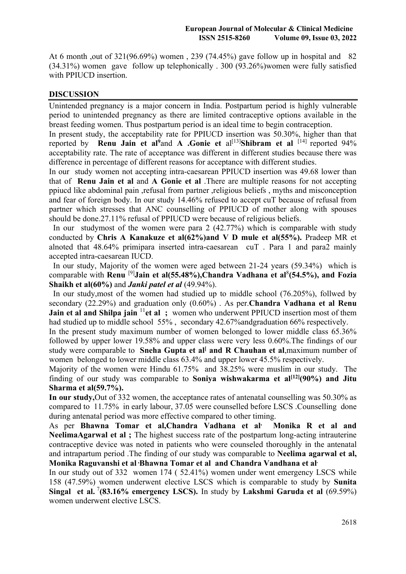At 6 month ,out of 321(96.69%) women , 239 (74.45%) gave follow up in hospital and 82 (34.31%) women gave follow up telephonically . 300 (93.26%)women were fully satisfied with PPIUCD insertion.

## **DISCUSSION**

Unintended pregnancy is a major concern in India. Postpartum period is highly vulnerable period to unintended pregnancy as there are limited contraceptive options available in the breast feeding women. Thus postpartum period is an ideal time to begin contraception.

In present study, the acceptability rate for PPIUCD insertion was 50.30%, higher than that reported by **Renu Jain et al**<sup>9</sup>and **A** .Gonie et al<sup>[13]</sup>Shibram et al <sup>[14]</sup> reported 94% acceptability rate. The rate of acceptance was different in different studies because there was difference in percentage of different reasons for acceptance with different studies.

In our study women not accepting intra-caesarean PPIUCD insertion was 49.68 lower than that of **Renu Jain et al** and **A Gonie et al** .There are multiple reasons for not accepting ppiucd like abdominal pain ,refusal from partner ,religious beliefs , myths and misconception and fear of foreign body. In our study 14.46% refused to accept cuT because of refusal from partner which stresses that ANC counselling of PPIUCD of mother along with spouses should be done.27.11% refusal of PPIUCD were because of religious beliefs.

In our studymost of the women were para 2 (42.77%) which is comparable with study conducted by **Chris A Kanakuze et al(62%)and V D mule et al(55%).** Pradeep MR et alnoted that 48.64% primipara inserted intra-caesarean cuT . Para 1 and para2 mainly accepted intra-caesarean IUCD.

In our study, Majority of the women were aged between 21-24 years (59.34%) which is comparable with **Renu** <sup>[9]</sup>Jain et al(55.48%), Chandra Vadhana et al<sup>8</sup>(54.5%), and Fozia **Shaikh et al(60%)** and *Janki patel et al* (49.94%).

In our study,most of the women had studied up to middle school (76.205%), follwed by secondary (22.29%) and graduation only (0.60%) . As per.**Chandra Vadhana et al Renu Jain et al and Shilpa jain** <sup>11</sup> et al ; women who underwent PPIUCD insertion most of them had studied up to middle school 55% , secondary 42.67%andgraduation 66% respectively.

In the present study maximum number of women belonged to lower middle class 65.36% followed by upper lower 19.58% and upper class were very less 0.60%.The findings of our study were comparable to **Sneha Gupta et al<sup>l</sup> and R Chauhan et al**,maximum number of women belonged to lower middle class 63.4% and upper lower 45.5% respectively.

Majority of the women were Hindu 61.75% and 38.25% were muslim in our study. The finding of our study was comparable to **Soniya wishwakarma et al**<sup>[12]</sup>(90%) and Jitu **Sharma et al(59.7%).**

**In our study,**Out of 332 women, the acceptance rates of antenatal counselling was 50.30% as compared to 11.75% in early labour, 37.05 were counselled before LSCS .Counselling done during antenatal period was more effective compared to other timing.

As per **Bhawna Tomar et al,Chandra Vadhana et al, Monika R et al and NeelimaAgarwal et al ;** The highest success rate of the postpartum long-acting intrauterine contraceptive device was noted in patients who were counseled thoroughly in the antenatal and intrapartum period .The finding of our study was comparable to **Neelima agarwal et al, Monika Raguvanshi et al Bhawna Tomar et al and Chandra Vandhana et al.** 

In our study out of 332 women 174 ( 52.41%) women under went emergency LSCS while 158 (47.59%) women underwent elective LSCS which is comparable to study by **Sunita**  Singal et al.<sup>7</sup>(83.16% emergency LSCS). In study by Lakshmi Garuda et al (69.59%) women underwent elective LSCS.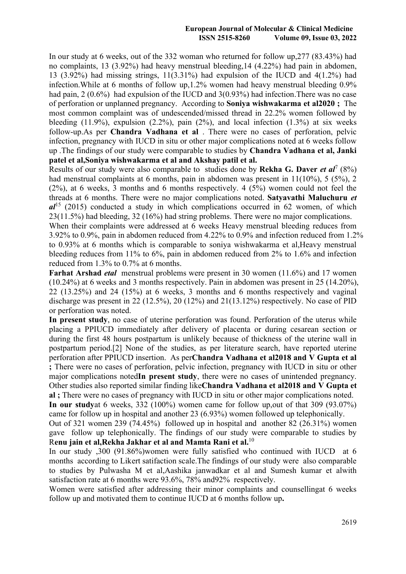#### **European Journal of Molecular & Clinical Medicine ISSN 2515-8260 Volume 09, Issue 03, 2022**

In our study at 6 weeks, out of the 332 woman who returned for follow up,277 (83.43%) had no complaints, 13 (3.92%) had heavy menstrual bleeding,14 (4.22%) had pain in abdomen, 13 (3.92%) had missing strings, 11(3.31%) had expulsion of the IUCD and 4(1.2%) had infection.While at 6 months of follow up,1.2% women had heavy menstrual bleeding 0.9% had pain, 2 (0.6%) had expulsion of the IUCD and 3(0.93%) had infection. There was no case of perforation or unplanned pregnancy. According to **Soniya wishwakarma et al2020 ;** The most common complaint was of undescended/missed thread in 22.2% women followed by bleeding  $(11.9\%)$ , expulsion  $(2.2\%)$ , pain  $(2\%)$ , and local infection  $(1.3\%)$  at six weeks follow-up.As per **Chandra Vadhana et al** . There were no cases of perforation, pelvic infection, pregnancy with IUCD in situ or other major complications noted at 6 weeks follow up .The findings of our study were comparable to studies by **Chandra Vadhana et al, Janki patel et al,Soniya wishwakarma et al and Akshay patil et al.**

Results of our study were also comparable to studies done by **Rekha G. Daver** *et al*<sup>7</sup> (8%) had menstrual complaints at 6 months, pain in abdomen was present in 11(10%), 5 (5%), 2 (2%), at 6 weeks, 3 months and 6 months respectively. 4 (5%) women could not feel the threads at 6 months. There were no major complications noted. **Satyavathi Maluchuru** *et al*<sup>15</sup> (2015) conducted a study in which complications occurred in 62 women, of which 23(11.5%) had bleeding, 32 (16%) had string problems. There were no major complications. When their complaints were addressed at 6 weeks Heavy menstrual bleeding reduces from 3.92% to 0.9%, pain in abdomen reduced from 4.22% to 0.9% and infection reduced from 1.2% to 0.93% at 6 months which is comparable to soniya wishwakarma et al,Heavy menstrual bleeding reduces from 11% to 6%, pain in abdomen reduced from 2% to 1.6% and infection reduced from 1.3% to 0.7% at 6 months.

**Farhat Arshad** *etal* menstrual problems were present in 30 women (11.6%) and 17 women (10.24%) at 6 weeks and 3 months respectively. Pain in abdomen was present in 25 (14.20%), 22 (13.25%) and 24 (15%) at 6 weeks, 3 months and 6 months respectively and vaginal discharge was present in 22 (12.5%), 20 (12%) and 21(13.12%) respectively. No case of PID or perforation was noted.

**In present study**, no case of uterine perforation was found. Perforation of the uterus while placing a PPIUCD immediately after delivery of placenta or during cesarean section or during the first 48 hours postpartum is unlikely because of thickness of the uterine wall in postpartum period.[2] None of the studies, as per literature search, have reported uterine perforation after PPIUCD insertion. As per**Chandra Vadhana et al2018 and V Gupta et al ;** There were no cases of perforation, pelvic infection, pregnancy with IUCD in situ or other major complications noted**In present study**, there were no cases of unintended pregnancy. Other studies also reported similar finding like**Chandra Vadhana et al2018 and V Gupta et al ;** There were no cases of pregnancy with IUCD in situ or other major complications noted. **In our study**at 6 weeks, 332 (100%) women came for follow up,out of that 309 (93.07%) came for follow up in hospital and another 23 (6.93%) women followed up telephonically.

Out of 321 women 239 (74.45%) followed up in hospital and another 82 (26.31%) women gave follow up telephonically. The findings of our study were comparable to studies by R**enu jain et al,Rekha Jakhar et al and Mamta Rani et al.**<sup>10</sup>

In our study ,300 (91.86%)women were fully satisfied who continued with IUCD at 6 months according to Likert satifaction scale.The findings of our study were also comparable to studies by Pulwasha M et al,Aashika janwadkar et al and Sumesh kumar et alwith satisfaction rate at 6 months were 93.6%, 78% and92% respectively.

Women were satisfied after addressing their minor complaints and counsellingat 6 weeks follow up and motivated them to continue IUCD at 6 months follow up**.**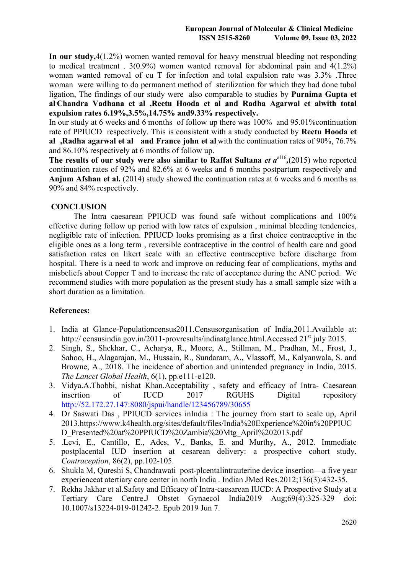**In our study,**4(1.2%) women wanted removal for heavy menstrual bleeding not responding to medical treatment .  $3(0.9\%)$  women wanted removal for abdominal pain and  $4(1.2\%)$ woman wanted removal of cu T for infection and total expulsion rate was 3.3% .Three woman were willing to do permanent method of sterilization for which they had done tubal ligation, The findings of our study were also comparable to studies by **Purnima Gupta et al**, **Chandra Vadhana et al ,Reetu Hooda et al and Radha Agarwal et alwith total expulsion rates 6.19%,3.5%,14.75% and9.33% respectively.** 

In our study at 6 weeks and 6 months of follow up there was 100% and 95.01%continuation rate of PPIUCD respectively. This is consistent with a study conducted by **Reetu Hooda et al ,Radha agarwal et al and France john et al**,with the continuation rates of 90%, 76.7% and 86.10% respectively at 6 months of follow up.

The results of our study were also similar to Raffat Sultana *et*  $a^{all6}$ ,(2015) who reported continuation rates of 92% and 82.6% at 6 weeks and 6 months postpartum respectively and **Anjum Afshan et al.** (2014) study showed the continuation rates at 6 weeks and 6 months as 90% and 84% respectively.

## **CONCLUSION**

The Intra caesarean PPIUCD was found safe without complications and 100% effective during follow up period with low rates of expulsion , minimal bleeding tendencies, negligible rate of infection. PPIUCD looks promising as a first choice contraceptive in the eligible ones as a long term , reversible contraceptive in the control of health care and good satisfaction rates on likert scale with an effective contraceptive before discharge from hospital. There is a need to work and improve on reducing fear of complications, myths and misbeliefs about Copper T and to increase the rate of acceptance during the ANC period. We recommend studies with more population as the present study has a small sample size with a short duration as a limitation.

## **References:**

- 1. India at Glance-Populationcensus2011.Censusorganisation of India,2011.Available at: http:// censusindia.gov.in/2011-provresults/indiaatglance.html.Accessed 21<sup>st</sup> july 2015.
- 2. Singh, S., Shekhar, C., Acharya, R., Moore, A., Stillman, M., Pradhan, M., Frost, J., Sahoo, H., Alagarajan, M., Hussain, R., Sundaram, A., Vlassoff, M., Kalyanwala, S. and Browne, A., 2018. The incidence of abortion and unintended pregnancy in India, 2015. *The Lancet Global Health*, 6(1), pp.e111-e120.
- 3. Vidya.A.Thobbi, nishat Khan.Acceptability , safety and efficacy of Intra- Caesarean insertion of IUCD 2017 RGUHS Digital repository <http://52.172.27.147:8080/jspui/handle/123456789/30655>
- 4. Dr Saswati Das , PPIUCD services inIndia : The journey from start to scale up, April 2013.https://www.k4health.org/sites/default/files/India%20Experience%20in%20PPIUC D\_Presented%20at%20PPIUCD%20Zambia%20Mtg\_April%202013.pdf
- 5. .Levi, E., Cantillo, E., Ades, V., Banks, E. and Murthy, A., 2012. Immediate postplacental IUD insertion at cesarean delivery: a prospective cohort study. *Contraception*, 86(2), pp.102-105.
- 6. Shukla M, Qureshi S, Chandrawati post-plcentalintrauterine device insertion—a five year experienceat atertiary care center in north India . Indian JMed Res.2012;136(3):432-35.
- 7. Rekha Jakhar et al.Safety and Efficacy of Intra-caesarean IUCD: A Prospective Study at a Tertiary Care Centre.J Obstet Gynaecol India2019 Aug;69(4):325-329 doi: 10.1007/s13224-019-01242-2. Epub 2019 Jun 7.